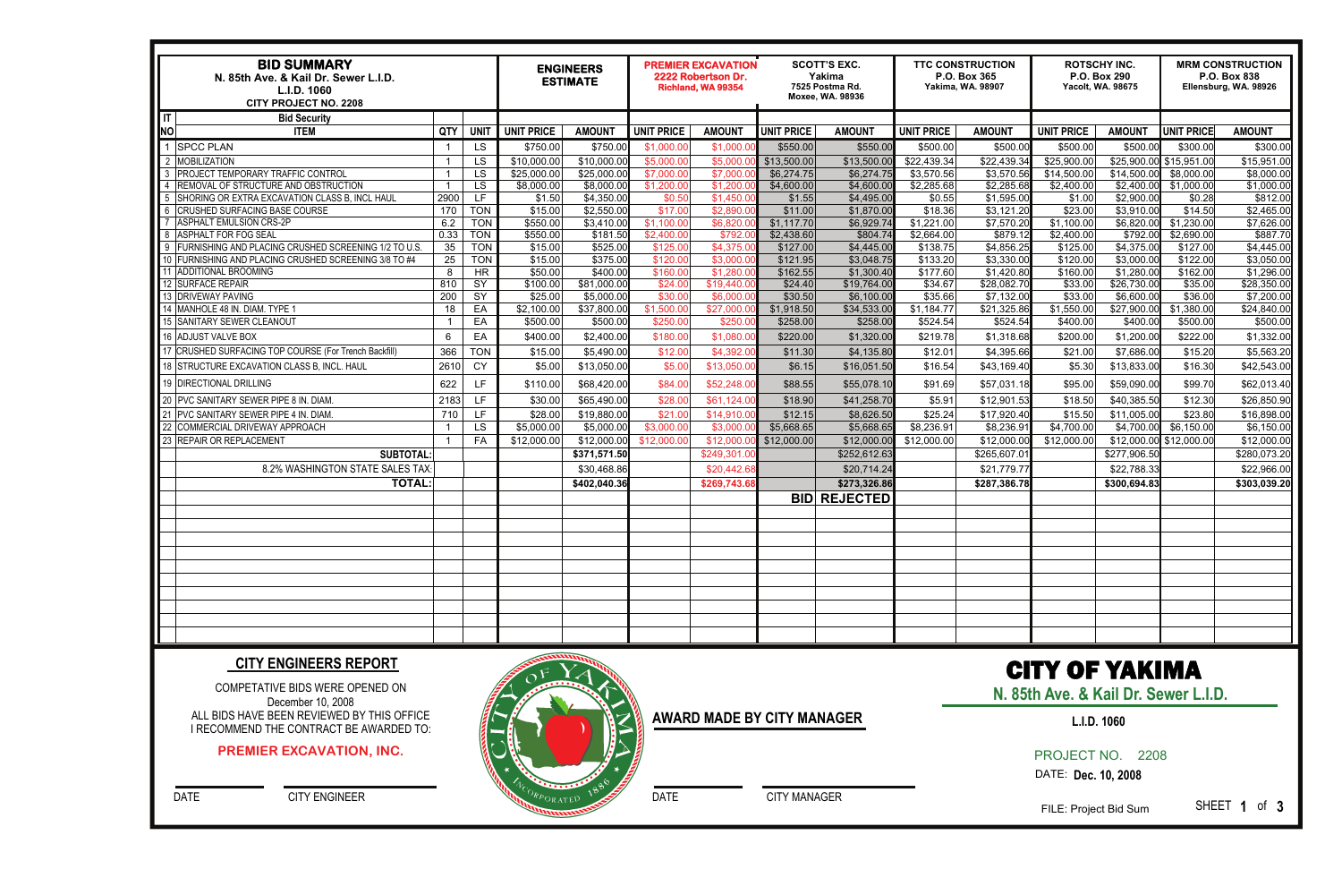| <b>BID SUMMARY</b><br>N. 85th Ave. & Kail Dr. Sewer L.I.D.<br>L.I.D. 1060<br><b>CITY PROJECT NO. 2208</b> |                         |                          | <b>ENGINEERS</b><br><b>ESTIMATE</b> |                      | <b>PREMIER EXCAVATION</b><br>2222 Robertson Dr.<br>Richland, WA 99354 |                        | <b>SCOTT'S EXC.</b><br>Yakima<br>7525 Postma Rd.<br>Moxee, WA. 98936 |                          | <b>TTC CONSTRUCTION</b><br>P.O. Box 365<br><b>Yakima, WA, 98907</b> |                         | <b>ROTSCHY INC.</b><br>P.O. Box 290<br><b>Yacolt, WA. 98675</b> |                          | <b>MRM CONSTRUCTION</b><br>P.O. Box 838<br>Ellensburg, WA. 98926 |                          |
|-----------------------------------------------------------------------------------------------------------|-------------------------|--------------------------|-------------------------------------|----------------------|-----------------------------------------------------------------------|------------------------|----------------------------------------------------------------------|--------------------------|---------------------------------------------------------------------|-------------------------|-----------------------------------------------------------------|--------------------------|------------------------------------------------------------------|--------------------------|
| $ \mathsf{T} $<br><b>Bid Security</b>                                                                     |                         |                          |                                     |                      |                                                                       |                        |                                                                      |                          |                                                                     |                         |                                                                 |                          |                                                                  |                          |
| <b>ITEM</b><br><b>NO</b>                                                                                  | <b>QTY</b>              | <b>UNIT</b>              | <b>UNIT PRICE</b>                   | <b>AMOUN1</b>        | <b>UNIT PRICE</b>                                                     | <b>AMOUNT</b>          | <b>UNIT PRICE</b>                                                    | <b>AMOUNT</b>            | <b>UNIT PRICE</b>                                                   | <b>AMOUNT</b>           | <b>UNIT PRICE</b>                                               | <b>AMOUNT</b>            | <b>UNIT PRICE</b>                                                | <b>AMOUNT</b>            |
| <b>SPCC PLAN</b>                                                                                          |                         | LS                       | \$750.00                            | \$750.00             | \$1,000.0                                                             | \$1,000.0              | \$550.00                                                             | \$550.00                 | \$500.00                                                            | \$500.00                | \$500.00                                                        | \$500.00                 | \$300.00                                                         | \$300.00                 |
| <b>MOBILIZATION</b>                                                                                       | $\overline{\mathbf{1}}$ | LS                       | \$10,000.00                         | \$10,000.00          | \$5,000.00                                                            | \$5,000.0              | \$13,500.00                                                          | \$13,500.00              | \$22,439.34                                                         | $\overline{$}22,439.34$ | \$25,900.00                                                     | \$25,900.00              | \$15,951.00                                                      | \$15,951.00              |
| <b>PROJECT TEMPORARY TRAFFIC CONTROL</b>                                                                  | $\overline{\mathbf{1}}$ | LS                       | \$25,000.00                         | \$25,000.00          | \$7,000.0                                                             | \$7,000.               | \$6,274.75                                                           | \$6,274.75               | \$3,570.56                                                          | \$3,570.56              | \$14,500.00                                                     | \$14,500.00              | \$8,000.00                                                       | \$8,000.00               |
| <b>REMOVAL OF STRUCTURE AND OBSTRUCTION</b>                                                               | $\overline{1}$          | LS                       | \$8,000.00                          | \$8,000.00           | \$1,200.00                                                            | \$1,200.0              | \$4,600.00                                                           | \$4,600.00               | \$2,285.68                                                          | \$2,285.68              | \$2,400.00                                                      | \$2,400.00               | \$1,000.00                                                       | \$1,000.00               |
| 5 SHORING OR EXTRA EXCAVATION CLASS B, INCL HAUL                                                          | 2900                    | LF                       | \$1.50                              | \$4,350.00           | \$0.50                                                                | \$1,450.0              | \$1.55                                                               | \$4,495.00               | \$0.55                                                              | \$1,595.00              | \$1.00                                                          | \$2,900.00               | \$0.28                                                           | \$812.0                  |
| 6 CRUSHED SURFACING BASE COURSE                                                                           | 170                     | <b>TON</b>               | \$15.00                             | \$2,550.00           | \$17.00                                                               | \$2,890.0              | \$11.00                                                              | \$1,870.00               | \$18.36                                                             | \$3,121.20              | \$23.00                                                         | \$3,910.00               | \$14.50                                                          | \$2,465.00               |
| <b>ASPHALT EMULSION CRS-2P</b>                                                                            | 6.2                     | <b>TON</b>               | \$550.00                            | \$3,410.00           | \$1,100.00                                                            | \$6,820.               | \$1,117.70                                                           | \$6,929.74               | \$1,221.00                                                          | \$7,570.20              | \$1,100.00                                                      | \$6,820.00               | \$1,230.00                                                       | \$7,626.00               |
| 8 ASPHALT FOR FOG SEAL<br>9 FURNISHING AND PLACING CRUSHED SCREENING 1/2 TO U.S.                          | 0.33<br>35              | <b>TON</b><br><b>TON</b> | \$550.00<br>\$15.00                 | \$181.50<br>\$525.00 | \$2,400.00                                                            | \$792.0                | \$2,438.60                                                           | \$804.74                 | \$2,664.00                                                          | \$879.12<br>\$4,856.25  | \$2,400.00                                                      | \$792.00                 | \$2,690.00                                                       | \$887.70                 |
| 10 FURNISHING AND PLACING CRUSHED SCREENING 3/8 TO #4                                                     | 25                      | <b>TON</b>               | \$15.00                             | \$375.00             | \$125.0<br>\$120.0                                                    | \$4,375.0<br>\$3,000.0 | \$127.00<br>\$121.95                                                 | \$4,445.00<br>\$3,048.75 | \$138.75<br>\$133.20                                                | \$3,330.00              | \$125.00<br>\$120.00                                            | \$4,375.00<br>\$3,000.00 | \$127.00<br>\$122.00                                             | \$4,445.00<br>\$3,050.00 |
| 11 ADDITIONAL BROOMING                                                                                    | 8                       | HR                       | \$50.00                             | \$400.00             | \$160.0                                                               | \$1,280.               | \$162.55                                                             | \$1,300.40               | \$177.60                                                            | \$1,420.80              | \$160.00                                                        | \$1,280.00               | \$162.00                                                         | \$1,296.00               |
| 12 SURFACE REPAIR                                                                                         | 810                     | $\overline{SY}$          | \$100.00                            | \$81,000.00          | \$24.0                                                                | \$19,440.0             | \$24.40                                                              | \$19,764.00              | \$34.67                                                             | \$28,082.70             | \$33.00                                                         | \$26,730.00              | \$35.00                                                          | \$28,350.00              |
| 13 DRIVEWAY PAVING                                                                                        | 200                     | $\overline{SY}$          | \$25.00                             | \$5,000.00           | \$30.00                                                               | \$6,000.0              | \$30.50                                                              | \$6,100.00               | \$35.66                                                             | \$7,132.00              | \$33.00                                                         | \$6,600.00               | \$36.00                                                          | \$7,200.00               |
| 14 MANHOLE 48 IN. DIAM. TYPE 1                                                                            | 18                      | EA                       | \$2,100.00                          | \$37,800.00          | \$1,500.0                                                             | \$27,000.              | \$1,918.50                                                           | \$34,533.00              | \$1,184.77                                                          | \$21,325.86             | \$1,550.00                                                      | \$27,900.00              | \$1,380.00                                                       | \$24,840.00              |
| 15 SANITARY SEWER CLEANOUT                                                                                | $\overline{1}$          | EA                       | \$500.00                            | \$500.00             | \$250.00                                                              | \$250.0                | \$258.00                                                             | \$258.00                 | \$524.54                                                            | \$524.54                | \$400.00                                                        | \$400.00                 | \$500.00                                                         | \$500.00                 |
| 16 ADJUST VALVE BOX                                                                                       | 6                       | EA                       | \$400.00                            | \$2,400.00           | \$180.00                                                              | \$1,080.0              | \$220.00                                                             | \$1,320.00               | \$219.78                                                            | \$1,318.68              | \$200.00                                                        | \$1,200.00               | \$222.00                                                         | \$1,332.0                |
| 17 CRUSHED SURFACING TOP COURSE (For Trench Backfill)                                                     | 366                     | <b>TON</b>               | \$15.00                             | \$5,490.00           | \$12.00                                                               | \$4,392.0              | \$11.30                                                              | \$4,135.80               | \$12.01                                                             | \$4,395.66              | \$21.00                                                         | \$7,686.00               | \$15.20                                                          | \$5,563.20               |
| 18 STRUCTURE EXCAVATION CLASS B. INCL. HAUL                                                               | 2610                    | CY                       | \$5.00                              | \$13,050.00          | \$5.00                                                                | \$13,050.0             | \$6.15                                                               | \$16,051.50              | \$16.54                                                             | \$43,169.40             | \$5.30                                                          | \$13,833.00              | \$16.30                                                          | \$42,543.0               |
| 19 DIRECTIONAL DRILLING                                                                                   | 622                     | <b>LF</b>                | \$110.00                            | \$68,420.00          | \$84.00                                                               | \$52,248.00            | \$88.55                                                              | \$55,078.10              | \$91.69                                                             | \$57,031.18             | \$95.00                                                         | \$59,090.00              | \$99.70                                                          | \$62,013.40              |
| 20 PVC SANITARY SEWER PIPE 8 IN. DIAM.                                                                    | 2183                    | LF.                      | \$30.00                             | \$65,490.00          | \$28.00                                                               | \$61,124.00            | \$18.90                                                              | \$41,258.70              | \$5.91                                                              | \$12,901.53             | \$18.50                                                         | \$40,385.50              | \$12.30                                                          | \$26,850.90              |
| 21 PVC SANITARY SEWER PIPE 4 IN. DIAM.                                                                    | 710                     | LF                       | \$28.00                             | \$19,880.00          | \$21.00                                                               | \$14,910.0             | \$12.15                                                              | \$8,626.50               | \$25.24                                                             | \$17,920.40             | \$15.50                                                         | \$11,005.00              | \$23.80                                                          | \$16,898.00              |
| 22 COMMERCIAL DRIVEWAY APPROACH                                                                           |                         | LS                       | \$5,000.00                          | \$5,000.00           | \$3,000.0                                                             | \$3,000.               | \$5,668.65                                                           | \$5,668.65               | \$8,236.91                                                          | \$8,236.91              | \$4,700.00                                                      | \$4,700.00               | \$6,150.00                                                       | \$6,150.00               |
| 23 REPAIR OR REPLACEMENT                                                                                  |                         | FA                       | \$12,000.00                         | \$12,000.00          | \$12,000.00                                                           | \$12,000.              | \$12,000.00                                                          | \$12,000.0               | \$12,000.00                                                         | \$12,000.00             | \$12,000.00                                                     | \$12,000.00              | \$12,000.00                                                      | \$12,000.00              |
| <b>SUBTOTAL</b>                                                                                           |                         |                          |                                     | \$371,571.50         |                                                                       | \$249,301.0            |                                                                      | \$252,612.63             |                                                                     | \$265,607.01            |                                                                 | \$277,906.50             |                                                                  | \$280,073.20             |
| 8.2% WASHINGTON STATE SALES TAX                                                                           |                         |                          |                                     | \$30,468.86          |                                                                       | \$20,442.68            |                                                                      | \$20,714.24              |                                                                     | \$21,779.77             |                                                                 | \$22,788.33              |                                                                  | \$22,966.00              |
| <b>TOTAL:</b>                                                                                             |                         |                          |                                     | \$402,040.36         |                                                                       | \$269,743.68           |                                                                      | \$273,326.86             |                                                                     | \$287,386.78            |                                                                 | \$300,694.83             |                                                                  | \$303,039.20             |
|                                                                                                           |                         |                          |                                     |                      |                                                                       |                        |                                                                      | <b>BID REJECTED</b>      |                                                                     |                         |                                                                 |                          |                                                                  |                          |
|                                                                                                           |                         |                          |                                     |                      |                                                                       |                        |                                                                      |                          |                                                                     |                         |                                                                 |                          |                                                                  |                          |
|                                                                                                           |                         |                          |                                     |                      |                                                                       |                        |                                                                      |                          |                                                                     |                         |                                                                 |                          |                                                                  |                          |
|                                                                                                           |                         |                          |                                     |                      |                                                                       |                        |                                                                      |                          |                                                                     |                         |                                                                 |                          |                                                                  |                          |
|                                                                                                           |                         |                          |                                     |                      |                                                                       |                        |                                                                      |                          |                                                                     |                         |                                                                 |                          |                                                                  |                          |
|                                                                                                           |                         |                          |                                     |                      |                                                                       |                        |                                                                      |                          |                                                                     |                         |                                                                 |                          |                                                                  |                          |
|                                                                                                           |                         |                          |                                     |                      |                                                                       |                        |                                                                      |                          |                                                                     |                         |                                                                 |                          |                                                                  |                          |
|                                                                                                           |                         |                          |                                     |                      |                                                                       |                        |                                                                      |                          |                                                                     |                         |                                                                 |                          |                                                                  |                          |
|                                                                                                           |                         |                          |                                     |                      |                                                                       |                        |                                                                      |                          |                                                                     |                         |                                                                 |                          |                                                                  |                          |
|                                                                                                           |                         |                          |                                     |                      |                                                                       |                        |                                                                      |                          |                                                                     |                         |                                                                 |                          |                                                                  |                          |
|                                                                                                           |                         |                          |                                     |                      |                                                                       |                        |                                                                      |                          |                                                                     |                         |                                                                 |                          |                                                                  |                          |

COMPETATIVE BIDS WERE OPENED ON December 10, 2008 ALL BIDS HAVE BEEN REVIEWED BY THIS OFFICE I RECOMMEND THE CONTRACT BE AWARDED TO:

#### **CITY ENGINEERS REPORT**

#### **AWARD MADE BY CITY MANAGER**

DATE CITY MANAGER

DATE CITY ENGINEER

# CITY OF YAKIMA

**N. 85th Ave. & Kail Dr. Sewer L.I.D.** 

PROJECT NO. 2208

DATE: **Dec. 10, 2008** 

FILE: Project Bid Sum

SHEET **1** of **3** 

#### **PREMIER EXCAVATION, INC.**



### **L.I.D. 1060**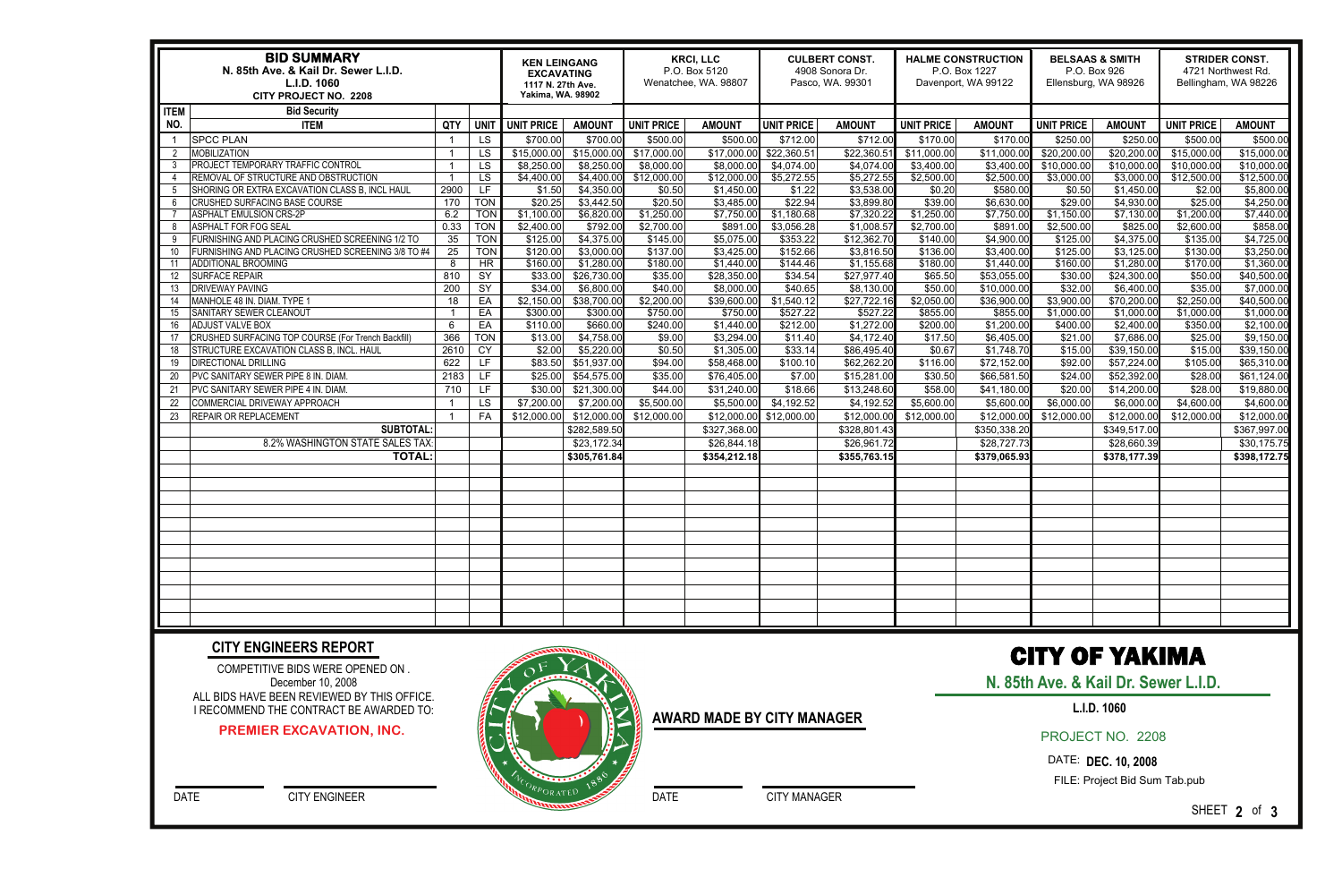|             | <b>BID SUMMARY</b><br>N. 85th Ave. & Kail Dr. Sewer L.I.D.<br>L.I.D. 1060<br>CITY PROJECT NO. 2208 | <b>KEN LEINGANG</b><br><b>EXCAVATING</b><br>1117 N. 27th Ave.<br><b>Yakima, WA. 98902</b> |             | <b>KRCI, LLC</b><br>P.O. Box 5120<br>Wenatchee, WA. 98807 |                           | <b>CULBERT CONST.</b><br>4908 Sonora Dr.<br>Pasco, WA. 99301 |                           | <b>HALME CONSTRUCTION</b><br>P.O. Box 1227<br>Davenport, WA 99122 |                           | <b>BELSAAS &amp; SMITH</b><br>P.O. Box 926<br>Ellensburg, WA 98926 |                           | <b>STRIDER CONST.</b><br>4721 Northwest Rd.<br>Bellingham, WA 98226 |                           |                     |                           |
|-------------|----------------------------------------------------------------------------------------------------|-------------------------------------------------------------------------------------------|-------------|-----------------------------------------------------------|---------------------------|--------------------------------------------------------------|---------------------------|-------------------------------------------------------------------|---------------------------|--------------------------------------------------------------------|---------------------------|---------------------------------------------------------------------|---------------------------|---------------------|---------------------------|
| <b>ITEM</b> | <b>Bid Security</b>                                                                                |                                                                                           |             |                                                           |                           |                                                              |                           |                                                                   |                           |                                                                    |                           |                                                                     |                           |                     |                           |
| NO.         | <b>ITEM</b>                                                                                        | QTY                                                                                       | <b>UNIT</b> | UNIT PRICE                                                | <b>AMOUNT</b>             | <b>UNIT PRICE</b>                                            | <b>AMOUNT</b>             | <b>UNIT PRICE</b>                                                 | <b>AMOUNT</b>             | <b>UNIT PRICE</b>                                                  | <b>AMOUNT</b>             | <b>UNIT PRICE</b>                                                   | <b>AMOUNT</b>             | <b>UNIT PRICE</b>   | <b>AMOUNT</b>             |
|             | <b>SPCC PLAN</b>                                                                                   |                                                                                           | LS          | \$700.00                                                  | \$700.00                  | \$500.00                                                     | \$500.0                   | \$712.00                                                          | \$712.00                  | \$170.00                                                           | \$170.0                   | \$250.00                                                            | \$250.00                  | \$500.00            | \$500.00                  |
| 2           | <b>MOBILIZATION</b>                                                                                | - 1                                                                                       | LS          | \$15,000.00                                               | \$15,000.00               | \$17,000.00                                                  | \$17,000.0                | \$22,360.51                                                       | \$22,360.5                | \$11,000.00                                                        | \$11,000.00               | \$20,200.00                                                         | \$20,200.00               | \$15,000.00         | \$15,000.00               |
| 3           | PROJECT TEMPORARY TRAFFIC CONTROL                                                                  | -1                                                                                        | LS          | \$8,250.00                                                | \$8,250.00                | \$8,000.00                                                   | \$8,000.0                 | \$4,074.00                                                        | \$4,074.0                 | \$3,400.00                                                         | \$3,400.00                | \$10,000.00                                                         | \$10,000.00               | \$10,000.00         | \$10,000.00               |
|             | REMOVAL OF STRUCTURE AND OBSTRUCTION                                                               | - 1                                                                                       | <b>LS</b>   | \$4,400.00                                                | \$4,400.00                | \$12,000.00                                                  | \$12,000.00               | \$5,272.55                                                        | \$5,272.55                | \$2,500.00                                                         | \$2,500.00                | \$3,000.00                                                          | \$3,000.00                | \$12,500.00         | \$12,500.00               |
| -5          | SHORING OR EXTRA EXCAVATION CLASS B, INCL HAUL                                                     | 2900                                                                                      | LF.         | \$1.50                                                    | \$4,350.00                | \$0.50                                                       | \$1,450.00                | \$1.22                                                            | \$3,538.00                | \$0.20                                                             | \$580.00                  | \$0.50                                                              | \$1,450.00                | \$2.00              | \$5,800.00                |
| -6          | CRUSHED SURFACING BASE COURSE                                                                      | 170                                                                                       | <b>TON</b>  | \$20.25                                                   | \$3,442.50                | \$20.50                                                      | \$3,485.00                | \$22.94                                                           | \$3,899.80                | \$39.00                                                            | \$6,630.00                | \$29.00                                                             | \$4,930.00                | \$25.00             | \$4,250.00                |
|             | <b>ASPHALT EMULSION CRS-2P</b>                                                                     | 6.2                                                                                       | <b>TON</b>  | \$1,100.00                                                | \$6,820.00                | \$1,250.00                                                   | \$7,750.00                | \$1,180.68                                                        | \$7,320.22                | \$1,250.00                                                         | \$7,750.00                | \$1,150.00                                                          | \$7,130.00                | \$1,200.00          | \$7,440.00                |
| 8           | <b>ASPHALT FOR FOG SEAL</b>                                                                        | 0.33                                                                                      | <b>TON</b>  | \$2,400.00                                                | \$792.00                  | \$2,700.00                                                   | \$891.00                  | \$3,056.28                                                        | \$1,008.5                 | \$2,700.00                                                         | \$891.0                   | \$2,500.00                                                          | \$825.00                  | \$2,600.00          | \$858.00                  |
| -9          | FURNISHING AND PLACING CRUSHED SCREENING 1/2 TO                                                    | 35                                                                                        | <b>TON</b>  | \$125.00                                                  | \$4,375.00                | \$145.00                                                     | \$5,075.00                | \$353.22                                                          | \$12,362.70               | \$140.00                                                           | \$4,900.00                | \$125.00                                                            | \$4,375.00                | \$135.00            | \$4,725.00                |
| 10          | FURNISHING AND PLACING CRUSHED SCREENING 3/8 TO #4<br><b>ADDITIONAL BROOMING</b>                   | $\overline{25}$<br>8                                                                      | <b>TON</b>  | \$120.00                                                  | \$3,000.00                | \$137.00                                                     | \$3,425.00                | \$152.66                                                          | \$3,816.50                | \$136.00                                                           | \$3,400.00                | \$125.00                                                            | \$3,125.00                | \$130.00            | \$3,250.00                |
|             | <b>SURFACE REPAIR</b>                                                                              | 810                                                                                       | HR<br>SY    | \$160.00<br>\$33.00                                       | \$1,280.00<br>\$26,730.00 | \$180.00<br>\$35.00                                          | \$1,440.00<br>\$28,350.00 | \$144.46<br>\$34.54                                               | \$1,155.68<br>\$27,977.40 | \$180.00<br>\$65.50                                                | \$1,440.00<br>\$53,055.00 | \$160.00<br>\$30.00                                                 | \$1,280.00<br>\$24,300.00 | \$170.00<br>\$50.00 | \$1,360.00<br>\$40,500.00 |
| 12<br>13    | <b>DRIVEWAY PAVING</b>                                                                             | 200                                                                                       | SY          | \$34.00                                                   | \$6,800.00                | \$40.00                                                      | \$8,000.00                | \$40.65                                                           | \$8,130.00                | \$50.00                                                            | \$10,000.00               | \$32.00                                                             | \$6,400.00                | \$35.00             | \$7,000.00                |
| 14          | MANHOLE 48 IN. DIAM. TYPE 1                                                                        | 18                                                                                        | EA          | \$2,150.00                                                | \$38,700.00               | \$2,200.00                                                   | \$39,600.00               | \$1,540.12                                                        | \$27,722.16               | \$2,050.00                                                         | \$36,900.0                | \$3,900.00                                                          | \$70,200.00               | \$2,250.00          | \$40,500.00               |
| 15          | SANITARY SEWER CLEANOUT                                                                            |                                                                                           | EA          | \$300.00                                                  | \$300.00                  | \$750.00                                                     | \$750.00                  | \$527.22                                                          | \$527.22                  | \$855.00                                                           | \$855.0                   | \$1,000.00                                                          | \$1,000.00                | \$1,000.00          | \$1,000.00                |
| 16          | <b>ADJUST VALVE BOX</b>                                                                            | 6                                                                                         | EA          | \$110.00                                                  | \$660.00                  | \$240.00                                                     | $\sqrt{$1,440.00}$        | \$212.00                                                          | \$1,272.00                | \$200.00                                                           | \$1,200.00                | \$400.00                                                            | \$2,400.00                | \$350.00            | \$2,100.00                |
| 17          | CRUSHED SURFACING TOP COURSE (For Trench Backfill)                                                 | 366                                                                                       | <b>TON</b>  | \$13.00                                                   | \$4,758.00                | \$9.00                                                       | \$3,294.00                | \$11.40                                                           | \$4,172.40                | \$17.50                                                            | \$6,405.00                | \$21.00                                                             | \$7,686.00                | \$25.00             | \$9,150.00                |
| 18          | STRUCTURE EXCAVATION CLASS B, INCL. HAUL                                                           | 2610                                                                                      | <b>CY</b>   | \$2.00                                                    | \$5,220.00                | \$0.50                                                       | \$1,305.00                | \$33.14                                                           | \$86,495.40               | \$0.67                                                             | \$1,748.70                | \$15.00                                                             | \$39,150.00               | \$15.00             | \$39,150.00               |
| 19          | DIRECTIONAL DRILLING                                                                               | 622                                                                                       | LF          | \$83.50                                                   | \$51,937.00               | \$94.00                                                      | \$58,468.00               | \$100.10                                                          | \$62,262.20               | \$116.00                                                           | \$72,152.00               | \$92.00                                                             | \$57,224.00               | \$105.00            | \$65,310.00               |
| 20          | PVC SANITARY SEWER PIPE 8 IN. DIAM                                                                 | 2183                                                                                      | LF          | \$25.00                                                   | \$54,575.00               | \$35.00                                                      | $\overline{$}76,405.00$   | \$7.00                                                            | \$15,281.00               | \$30.50                                                            | \$66,581.50               | \$24.00                                                             | \$52,392.00               | \$28.00             | \$61,124.00               |
| 21          | PVC SANITARY SEWER PIPE 4 IN. DIAM                                                                 | 710                                                                                       | LF.         | \$30.00                                                   | \$21,300.00               | \$44.00                                                      | \$31,240.00               | \$18.66                                                           | \$13,248.60               | \$58.00                                                            | \$41,180.00               | \$20.00                                                             | \$14,200.00               | \$28.00             | \$19,880.00               |
| 22          | COMMERCIAL DRIVEWAY APPROACH                                                                       | -1                                                                                        | <b>LS</b>   | $\overline{$7,200.00}$                                    | \$7,200.00                | \$5,500.00                                                   | \$5,500.00                | \$4,192.52                                                        | \$4,192.5                 | \$5,600.00                                                         | \$5,600.00                | \$6,000.00                                                          | \$6,000.00                | \$4,600.00          | \$4,600.00                |
| 23          | REPAIR OR REPLACEMENT                                                                              | - 1                                                                                       | FA          | \$12,000.00                                               | \$12,000.00               | \$12,000.00                                                  | \$12,000.0                | \$12,000.00                                                       | \$12,000.0                | \$12,000.00                                                        | \$12,000.00               | \$12,000.00                                                         | \$12,000.00               | \$12,000.00         | \$12,000.00               |
|             | <b>SUBTOTAL</b>                                                                                    |                                                                                           |             |                                                           | \$282,589.50              |                                                              | \$327,368.00              |                                                                   | \$328,801.4               |                                                                    | \$350,338.20              |                                                                     | \$349,517.00              |                     | \$367,997.00              |
|             | 8.2% WASHINGTON STATE SALES TAX                                                                    |                                                                                           |             |                                                           | \$23,172.34               |                                                              | \$26,844.18               |                                                                   | \$26,961.72               |                                                                    | \$28,727.73               |                                                                     | \$28,660.39               |                     | \$30,175.75               |
|             | <b>TOTAL</b>                                                                                       |                                                                                           |             |                                                           | \$305,761.84              |                                                              | \$354,212.18              |                                                                   | \$355,763.15              |                                                                    | \$379,065.93              |                                                                     | \$378,177.39              |                     | \$398,172.75              |
|             |                                                                                                    |                                                                                           |             |                                                           |                           |                                                              |                           |                                                                   |                           |                                                                    |                           |                                                                     |                           |                     |                           |
|             |                                                                                                    |                                                                                           |             |                                                           |                           |                                                              |                           |                                                                   |                           |                                                                    |                           |                                                                     |                           |                     |                           |
|             |                                                                                                    |                                                                                           |             |                                                           |                           |                                                              |                           |                                                                   |                           |                                                                    |                           |                                                                     |                           |                     |                           |
|             |                                                                                                    |                                                                                           |             |                                                           |                           |                                                              |                           |                                                                   |                           |                                                                    |                           |                                                                     |                           |                     |                           |
|             |                                                                                                    |                                                                                           |             |                                                           |                           |                                                              |                           |                                                                   |                           |                                                                    |                           |                                                                     |                           |                     |                           |
|             |                                                                                                    |                                                                                           |             |                                                           |                           |                                                              |                           |                                                                   |                           |                                                                    |                           |                                                                     |                           |                     |                           |
|             |                                                                                                    |                                                                                           |             |                                                           |                           |                                                              |                           |                                                                   |                           |                                                                    |                           |                                                                     |                           |                     |                           |
|             |                                                                                                    |                                                                                           |             |                                                           |                           |                                                              |                           |                                                                   |                           |                                                                    |                           |                                                                     |                           |                     |                           |
|             |                                                                                                    |                                                                                           |             |                                                           |                           |                                                              |                           |                                                                   |                           |                                                                    |                           |                                                                     |                           |                     |                           |
|             |                                                                                                    |                                                                                           |             |                                                           |                           |                                                              |                           |                                                                   |                           |                                                                    |                           |                                                                     |                           |                     |                           |
|             |                                                                                                    |                                                                                           |             |                                                           |                           |                                                              |                           |                                                                   |                           |                                                                    |                           |                                                                     |                           |                     |                           |
|             |                                                                                                    |                                                                                           |             |                                                           |                           |                                                              |                           |                                                                   |                           |                                                                    |                           |                                                                     |                           |                     |                           |
|             |                                                                                                    |                                                                                           |             |                                                           |                           |                                                              |                           |                                                                   |                           |                                                                    |                           |                                                                     |                           |                     |                           |

COMPETITIVE BIDS WERE OPENED ON . December 10, 2008 ALL BIDS HAVE BEEN REVIEWED BY THIS OFFICE. I RECOMMEND THE CONTRACT BE AWARDED TO:

#### **CITY ENGINEERS REPORT**

#### **AWARD MADE BY CITY MANAGER**

DATE CITY MANAGER

DATE CITY ENGINEER

## CITY OF YAKIMA

**N. 85th Ave. & Kail Dr. Sewer L.I.D.** 

PROJECT NO. 2208

DATE: **DEC. 10, 2008** 

FILE: Project Bid Sum Tab.pub

SHEET **2** of **3** 

#### **PREMIER EXCAVATION, INC.**



### **L.I.D. 1060**